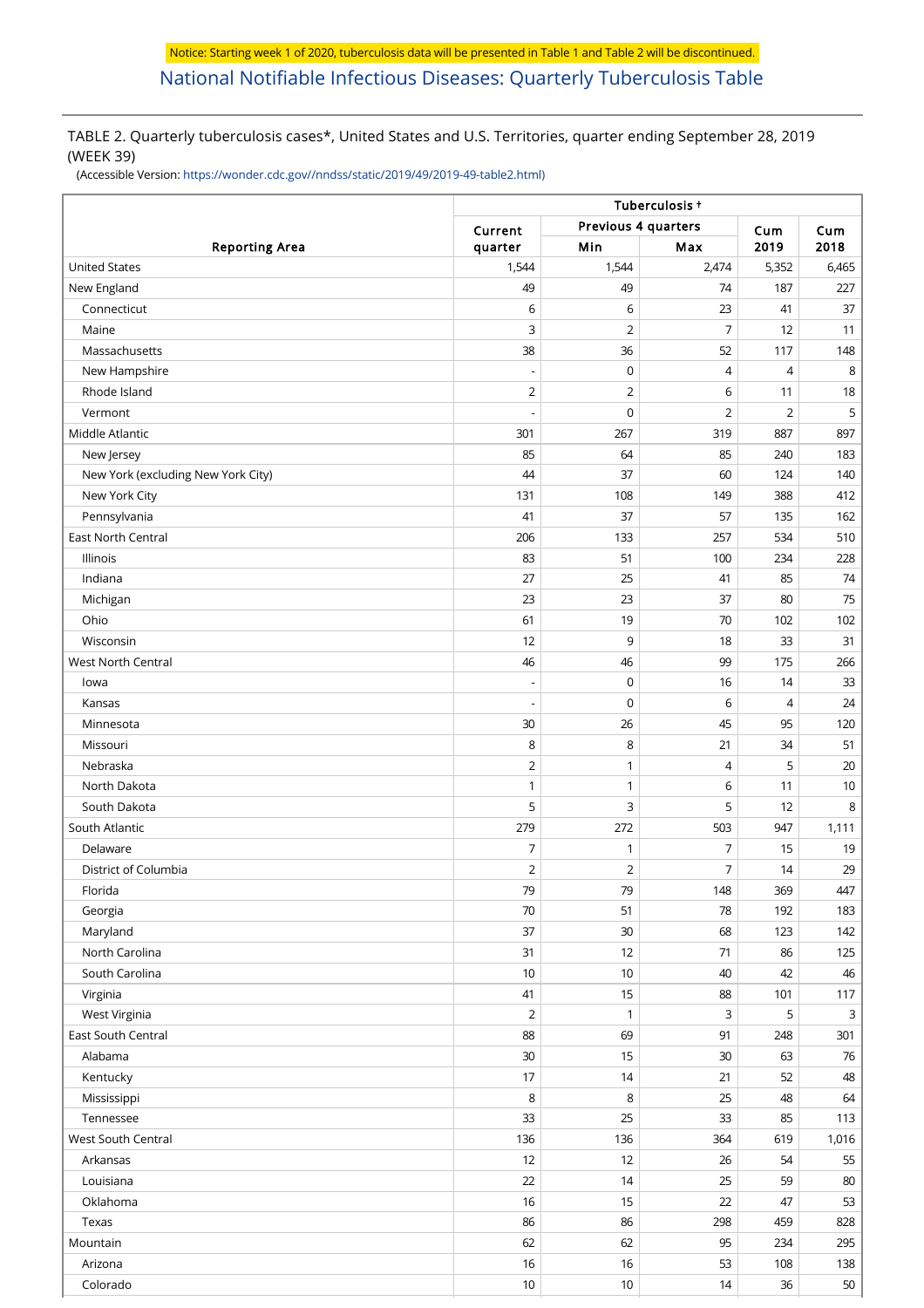# TABLE 2. Quarterly tuberculosis cases\*, United States and U.S. Territories, quarter ending September 28, 2019 (WEEK 39)

(Accessible Version: [https://wonder.cdc.gov//nndss/static/2019/49/2019-49-table2.html\)](https://wonder.cdc.gov//nndss/static/2019/49/2019-49-table2.html)

|                                    |                | Tuberculosis +                 |                |                |              |
|------------------------------------|----------------|--------------------------------|----------------|----------------|--------------|
|                                    |                | Previous 4 quarters<br>Current |                |                | Cum          |
| <b>Reporting Area</b>              | quarter        | Min                            | Max            | Cum<br>2019    | 2018         |
| <b>United States</b>               | 1,544          | 1,544                          | 2,474          | 5,352          | 6,465        |
| New England                        | 49             | 49                             | 74             | 187            | 227          |
| Connecticut                        | 6              | 6                              | 23             | 41             | 37           |
| Maine                              | 3              | 2                              | $\overline{7}$ | 12             | 11           |
| Massachusetts                      | 38             | 36                             | 52             | 117            | 148          |
| New Hampshire                      |                | $\mathbf 0$                    | $\overline{4}$ | 4              | 8            |
| Rhode Island                       | $\overline{2}$ | $\overline{c}$                 | 6              | 11             | 18           |
| Vermont                            |                | $\mathbf 0$                    | $\overline{2}$ | $\overline{2}$ | 5            |
| Middle Atlantic                    | 301            | 267                            | 319            | 887            | 897          |
| New Jersey                         | 85             | 64                             | 85             | 240            | 183          |
| New York (excluding New York City) | 44             | 37                             | 60             | 124            | 140          |
| New York City                      | 131            | 108                            | 149            | 388            | 412          |
| Pennsylvania                       | 41             | 37                             | 57             | 135            | 162          |
| East North Central                 | 206            | 133                            | 257            | 534            | 510          |
| Illinois                           | 83             | 51                             | 100            | 234            | 228          |
| Indiana                            | 27             | 25                             | 41             | 85             | 74           |
| Michigan                           | 23             | 23                             | 37             | 80             | 75           |
| Ohio                               | 61             | 19                             | 70             | 102            | 102          |
| Wisconsin                          | 12             | 9                              | 18             | 33             | 31           |
| West North Central                 | 46             | 46                             | 99             | 175            | 266          |
| lowa                               |                | $\mathbf 0$                    | 16             | 14             | 33           |
| Kansas                             |                | $\mathbf 0$                    | 6              | $\overline{4}$ | 24           |
| Minnesota                          | 30             | 26                             | 45             | 95             | 120          |
| Missouri                           | 8              | 8                              | 21             | 34             | 51           |
| Nebraska                           | $\overline{2}$ | 1                              | $\overline{4}$ | 5              | 20           |
| North Dakota                       | 1              | 1                              | 6              | 11             | 10           |
| South Dakota                       | 5              | 3                              | 5              | 12             | 8            |
| South Atlantic                     | 279            | 272                            | 503            | 947            | 1,111        |
| Delaware                           | 7              | 1                              | 7              | 15             | 19           |
| District of Columbia               | $\overline{2}$ | $\overline{2}$                 | $\overline{7}$ | 14             | 29           |
| Florida                            | 79             | 79                             | 148            | 369            | 447          |
| Georgia                            | 70             | 51                             | 78             | 192            | 183          |
| Maryland                           | 37             | 30                             | 68             | 123            | 142          |
| North Carolina                     | 31             | 12                             | 71             | 86             | 125          |
| South Carolina                     | 10             | 10                             | 40             | 42             | 46           |
| Virginia                           | 41             | 15                             | 88             | 101            | 117          |
| West Virginia                      | $\overline{2}$ | 1                              | 3              | 5              | $\mathsf{3}$ |
| East South Central                 | 88             | 69                             | 91             | 248            | 301          |
| Alabama                            | $30\,$         | 15                             | 30             | 63             | 76           |
| Kentucky                           | 17             | 14                             | 21             | 52             | 48           |
| Mississippi                        | 8              | $\,8\,$                        | 25             | 48             | 64           |
| Tennessee                          | 33             | 25                             | 33             | 85             | 113          |
| West South Central                 | 136            | 136                            | 364            | 619            | 1,016        |
| Arkansas                           | 12             | 12                             | 26             | 54             | 55           |
| Louisiana                          | 22             | 14                             | 25             | 59             | 80           |
| Oklahoma                           | 16             | 15                             | 22             | 47             | 53           |
|                                    |                |                                |                |                |              |
| Texas                              | 86             | 86                             | 298            | 459            | 828          |
| Mountain                           | 62             | 62                             | 95             | 234            | 295          |
| Arizona                            | 16             | 16                             | 53             | 108            | 138          |
| Colorado                           | $10$           | 10                             | 14             | 36             | 50           |